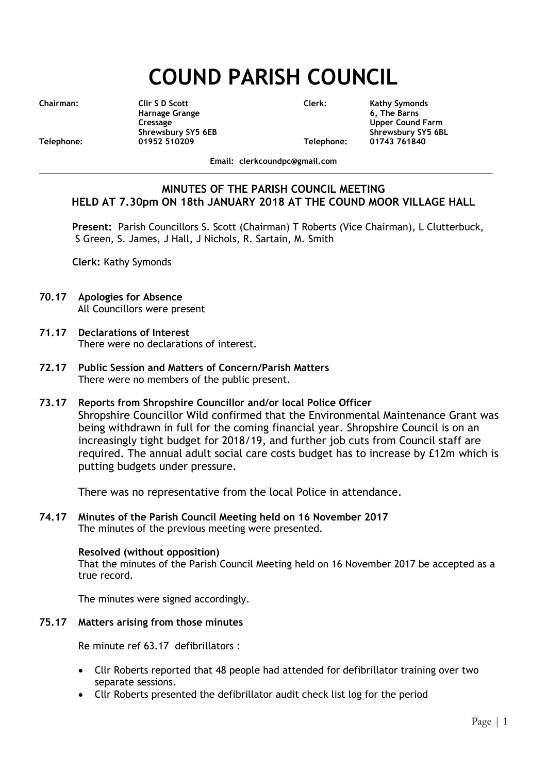# **COUND PARISH COUNCIL**

**Chairman: Cllr S D Scott Clerk: Kathy Symonds Harnage Grange 6, The Barns Cressage Upper Cound Farm Shrewsbury SY5 6EB Shrewsbury SY5 6BL Telephone: 01952 510209 Telephone: 01743 761840**

**Email: clerkcoundpc@gmail.com**

**\_\_\_\_\_\_\_\_\_\_\_\_\_\_\_\_\_\_\_\_\_\_\_\_\_\_\_\_\_\_\_\_\_\_\_\_\_\_\_\_\_\_\_\_\_\_\_\_\_\_\_\_\_\_\_\_\_\_\_\_\_\_\_\_\_\_\_\_\_\_\_\_\_\_\_\_\_\_\_\_\_\_\_\_\_\_\_\_\_\_\_\_\_\_\_\_\_\_\_\_\_\_\_\_\_\_\_\_\_\_\_**

# **MINUTES OF THE PARISH COUNCIL MEETING HELD AT 7.30pm ON 18th JANUARY 2018 AT THE COUND MOOR VILLAGE HALL**

**Present:** Parish Councillors S. Scott (Chairman) T Roberts (Vice Chairman), L Clutterbuck, S Green, S. James, J Hall, J Nichols, R. Sartain, M. Smith

**Clerk:** Kathy Symonds

- **70.17 Apologies for Absence** All Councillors were present
- **71.17 Declarations of Interest** There were no declarations of interest.
- **72.17 Public Session and Matters of Concern/Parish Matters** There were no members of the public present.
- **73.17 Reports from Shropshire Councillor and/or local Police Officer** Shropshire Councillor Wild confirmed that the Environmental Maintenance Grant was being withdrawn in full for the coming financial year. Shropshire Council is on an increasingly tight budget for 2018/19, and further job cuts from Council staff are required. The annual adult social care costs budget has to increase by £12m which is putting budgets under pressure.

There was no representative from the local Police in attendance.

**74.17 Minutes of the Parish Council Meeting held on 16 November 2017** The minutes of the previous meeting were presented.

# **Resolved (without opposition)**

That the minutes of the Parish Council Meeting held on 16 November 2017 be accepted as a true record.

The minutes were signed accordingly.

# **75.17 Matters arising from those minutes**

Re minute ref 63.17 defibrillators :

- Cllr Roberts reported that 48 people had attended for defibrillator training over two separate sessions.
- Cllr Roberts presented the defibrillator audit check list log for the period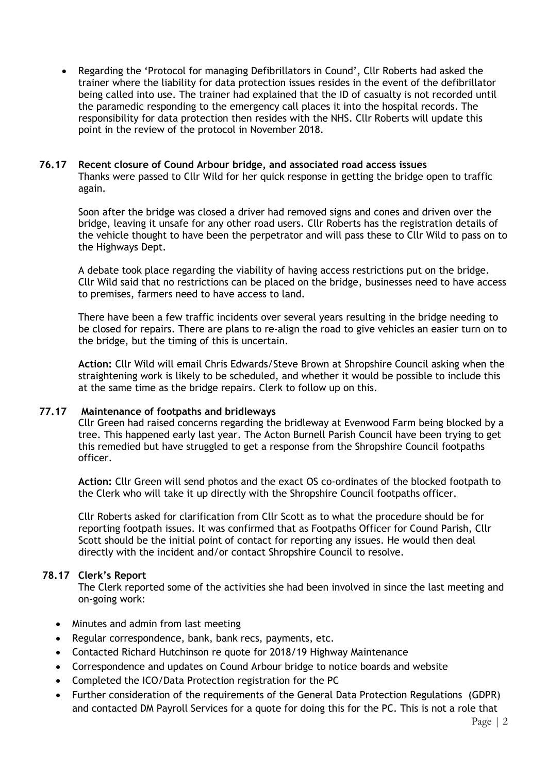Regarding the 'Protocol for managing Defibrillators in Cound', Cllr Roberts had asked the trainer where the liability for data protection issues resides in the event of the defibrillator being called into use. The trainer had explained that the ID of casualty is not recorded until the paramedic responding to the emergency call places it into the hospital records. The responsibility for data protection then resides with the NHS. Cllr Roberts will update this point in the review of the protocol in November 2018.

### **76.17 Recent closure of Cound Arbour bridge, and associated road access issues**

Thanks were passed to Cllr Wild for her quick response in getting the bridge open to traffic again.

Soon after the bridge was closed a driver had removed signs and cones and driven over the bridge, leaving it unsafe for any other road users. Cllr Roberts has the registration details of the vehicle thought to have been the perpetrator and will pass these to Cllr Wild to pass on to the Highways Dept.

A debate took place regarding the viability of having access restrictions put on the bridge. Cllr Wild said that no restrictions can be placed on the bridge, businesses need to have access to premises, farmers need to have access to land.

There have been a few traffic incidents over several years resulting in the bridge needing to be closed for repairs. There are plans to re-align the road to give vehicles an easier turn on to the bridge, but the timing of this is uncertain.

**Action:** Cllr Wild will email Chris Edwards/Steve Brown at Shropshire Council asking when the straightening work is likely to be scheduled, and whether it would be possible to include this at the same time as the bridge repairs. Clerk to follow up on this.

# **77.17 Maintenance of footpaths and bridleways**

Cllr Green had raised concerns regarding the bridleway at Evenwood Farm being blocked by a tree. This happened early last year. The Acton Burnell Parish Council have been trying to get this remedied but have struggled to get a response from the Shropshire Council footpaths officer.

**Action:** Cllr Green will send photos and the exact OS co-ordinates of the blocked footpath to the Clerk who will take it up directly with the Shropshire Council footpaths officer.

Cllr Roberts asked for clarification from Cllr Scott as to what the procedure should be for reporting footpath issues. It was confirmed that as Footpaths Officer for Cound Parish, Cllr Scott should be the initial point of contact for reporting any issues. He would then deal directly with the incident and/or contact Shropshire Council to resolve.

# **78.17 Clerk's Report**

The Clerk reported some of the activities she had been involved in since the last meeting and on-going work:

- Minutes and admin from last meeting
- Regular correspondence, bank, bank recs, payments, etc.
- Contacted Richard Hutchinson re quote for 2018/19 Highway Maintenance
- Correspondence and updates on Cound Arbour bridge to notice boards and website
- Completed the ICO/Data Protection registration for the PC
- Further consideration of the requirements of the General Data Protection Regulations (GDPR) and contacted DM Payroll Services for a quote for doing this for the PC. This is not a role that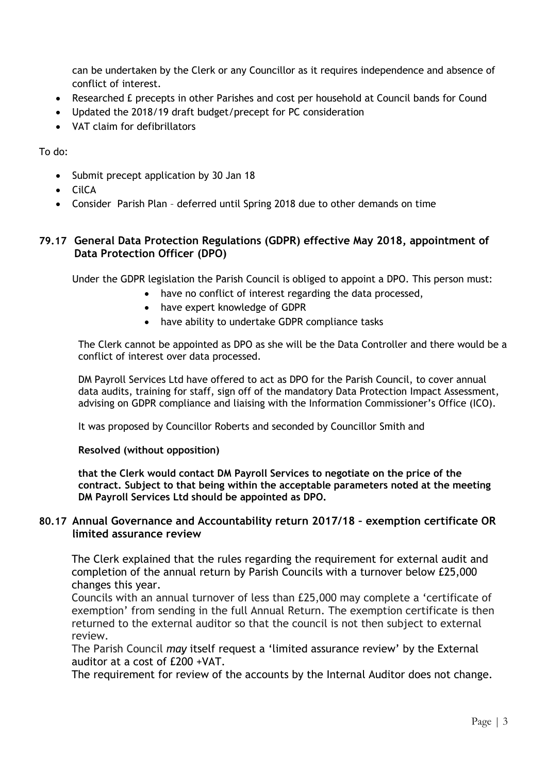can be undertaken by the Clerk or any Councillor as it requires independence and absence of conflict of interest.

- Researched £ precepts in other Parishes and cost per household at Council bands for Cound
- Updated the 2018/19 draft budget/precept for PC consideration
- VAT claim for defibrillators

To do:

- Submit precept application by 30 Jan 18
- CilCA
- Consider Parish Plan deferred until Spring 2018 due to other demands on time

# **79.17 General Data Protection Regulations (GDPR) effective May 2018, appointment of Data Protection Officer (DPO)**

Under the GDPR legislation the Parish Council is obliged to appoint a DPO. This person must:

- have no conflict of interest regarding the data processed,
- have expert knowledge of GDPR
- have ability to undertake GDPR compliance tasks

The Clerk cannot be appointed as DPO as she will be the Data Controller and there would be a conflict of interest over data processed.

DM Payroll Services Ltd have offered to act as DPO for the Parish Council, to cover annual data audits, training for staff, sign off of the mandatory Data Protection Impact Assessment, advising on GDPR compliance and liaising with the Information Commissioner's Office (ICO).

It was proposed by Councillor Roberts and seconded by Councillor Smith and

# **Resolved (without opposition)**

**that the Clerk would contact DM Payroll Services to negotiate on the price of the contract. Subject to that being within the acceptable parameters noted at the meeting DM Payroll Services Ltd should be appointed as DPO.**

# **80.17 Annual Governance and Accountability return 2017/18 – exemption certificate OR limited assurance review**

The Clerk explained that the rules regarding the requirement for external audit and completion of the annual return by Parish Councils with a turnover below £25,000 changes this year.

Councils with an annual turnover of less than £25,000 may complete a 'certificate of exemption' from sending in the full Annual Return. The exemption certificate is then returned to the external auditor so that the council is not then subject to external review.

The Parish Council *may* itself request a 'limited assurance review' by the External auditor at a cost of £200 +VAT.

The requirement for review of the accounts by the Internal Auditor does not change.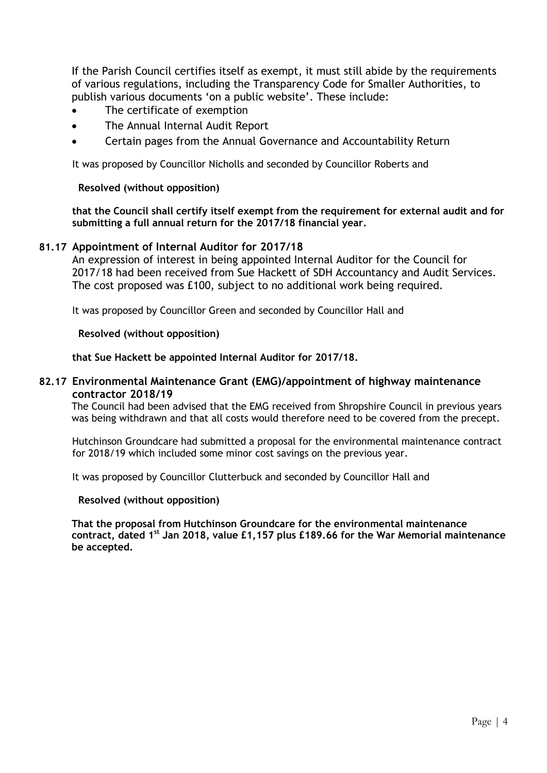If the Parish Council certifies itself as exempt, it must still abide by the requirements of various regulations, including the Transparency Code for Smaller Authorities, to publish various documents 'on a public website'. These include:

- The certificate of exemption
- The Annual Internal Audit Report
- Certain pages from the Annual Governance and Accountability Return

It was proposed by Councillor Nicholls and seconded by Councillor Roberts and

### **Resolved (without opposition)**

**that the Council shall certify itself exempt from the requirement for external audit and for submitting a full annual return for the 2017/18 financial year.**

# **81.17 Appointment of Internal Auditor for 2017/18**

An expression of interest in being appointed Internal Auditor for the Council for 2017/18 had been received from Sue Hackett of SDH Accountancy and Audit Services. The cost proposed was £100, subject to no additional work being required.

It was proposed by Councillor Green and seconded by Councillor Hall and

#### **Resolved (without opposition)**

**that Sue Hackett be appointed Internal Auditor for 2017/18.**

#### **82.17 Environmental Maintenance Grant (EMG)/appointment of highway maintenance contractor 2018/19**

The Council had been advised that the EMG received from Shropshire Council in previous years was being withdrawn and that all costs would therefore need to be covered from the precept.

Hutchinson Groundcare had submitted a proposal for the environmental maintenance contract for 2018/19 which included some minor cost savings on the previous year.

It was proposed by Councillor Clutterbuck and seconded by Councillor Hall and

#### **Resolved (without opposition)**

**That the proposal from Hutchinson Groundcare for the environmental maintenance contract, dated 1st Jan 2018, value £1,157 plus £189.66 for the War Memorial maintenance be accepted.**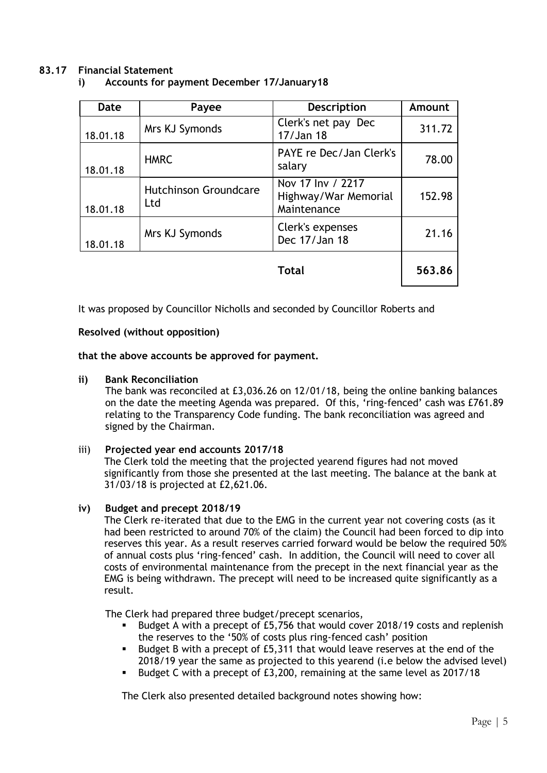# **83.17 Financial Statement**

| i) |  |  |  | Accounts for payment December 17/January18 |
|----|--|--|--|--------------------------------------------|
|----|--|--|--|--------------------------------------------|

| Date     | Payee                               | <b>Description</b>                                       | Amount |
|----------|-------------------------------------|----------------------------------------------------------|--------|
| 18.01.18 | Mrs KJ Symonds                      | Clerk's net pay Dec<br>17/Jan 18                         | 311.72 |
| 18.01.18 | <b>HMRC</b>                         | PAYE re Dec/Jan Clerk's<br>salary                        | 78.00  |
| 18.01.18 | <b>Hutchinson Groundcare</b><br>Ltd | Nov 17 Inv / 2217<br>Highway/War Memorial<br>Maintenance | 152.98 |
| 18.01.18 | Mrs KJ Symonds                      | Clerk's expenses<br>Dec 17/Jan 18                        | 21.16  |
|          |                                     | Total                                                    | 563.86 |

It was proposed by Councillor Nicholls and seconded by Councillor Roberts and

# **Resolved (without opposition)**

**that the above accounts be approved for payment.**

# **ii) Bank Reconciliation**

The bank was reconciled at £3,036.26 on 12/01/18, being the online banking balances on the date the meeting Agenda was prepared. Of this, 'ring-fenced' cash was £761.89 relating to the Transparency Code funding. The bank reconciliation was agreed and signed by the Chairman.

# iii) **Projected year end accounts 2017/18**

The Clerk told the meeting that the projected yearend figures had not moved significantly from those she presented at the last meeting. The balance at the bank at 31/03/18 is projected at £2,621.06.

# **iv) Budget and precept 2018/19**

The Clerk re-iterated that due to the EMG in the current year not covering costs (as it had been restricted to around 70% of the claim) the Council had been forced to dip into reserves this year. As a result reserves carried forward would be below the required 50% of annual costs plus 'ring-fenced' cash. In addition, the Council will need to cover all costs of environmental maintenance from the precept in the next financial year as the EMG is being withdrawn. The precept will need to be increased quite significantly as a result.

The Clerk had prepared three budget/precept scenarios,

- Budget A with a precept of £5,756 that would cover 2018/19 costs and replenish the reserves to the '50% of costs plus ring-fenced cash' position
- Budget B with a precept of £5,311 that would leave reserves at the end of the 2018/19 year the same as projected to this yearend (i.e below the advised level)
- Budget C with a precept of £3,200, remaining at the same level as 2017/18

The Clerk also presented detailed background notes showing how: